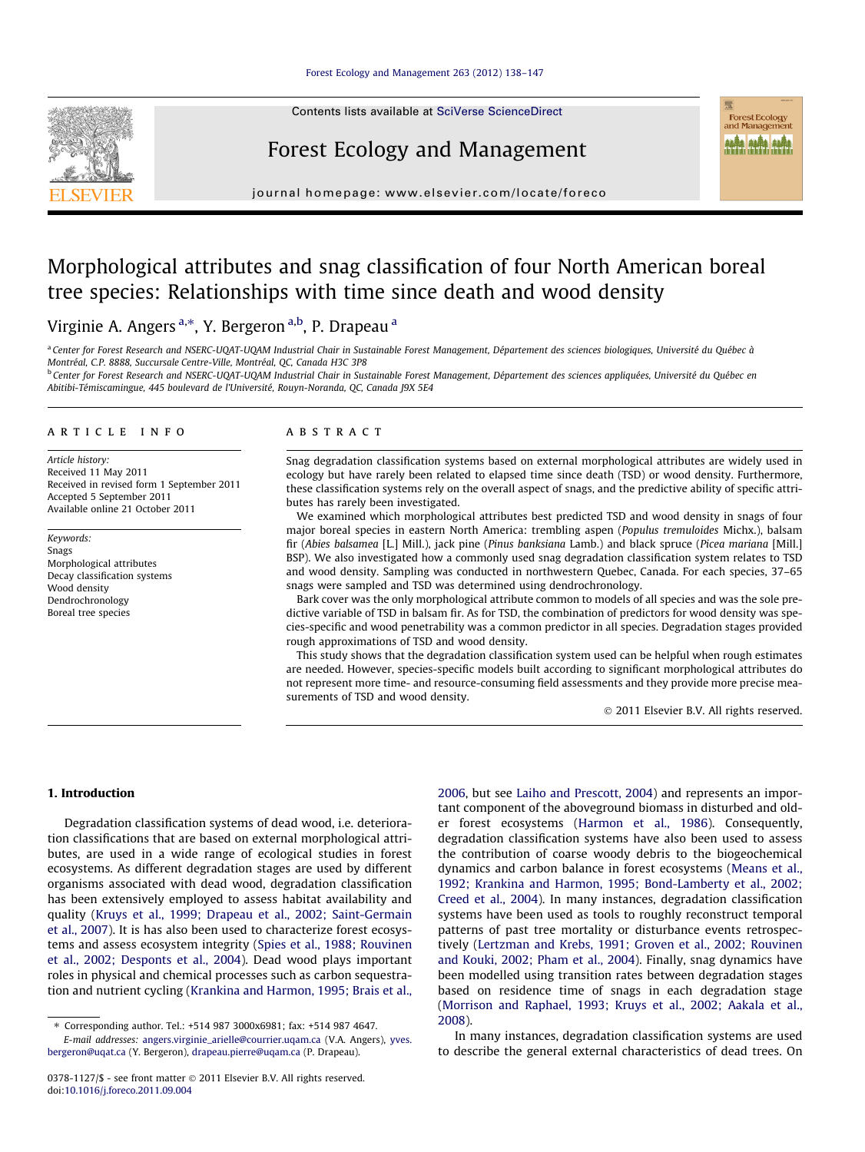Contents lists available at [SciVerse ScienceDirect](http://www.sciencedirect.com/science/journal/03781127)

## Forest Ecology and Management



journal homepage: [www.elsevier.com/locate/foreco](http://www.elsevier.com/locate/foreco)

# Morphological attributes and snag classification of four North American boreal tree species: Relationships with time since death and wood density

## Virginie A. Angers <sup>a,\*</sup>, Y. Bergeron <sup>a,b</sup>, P. Drapeau <sup>a</sup>

<sup>a</sup> Center for Forest Research and NSERC-UOAT-UOAM Industrial Chair in Sustainable Forest Management, Département des sciences biologiques, Université du Québec à

Montréal, C.P. 8888, Succursale Centre-Ville, Montréal, QC, Canada H3C 3P8<br><sup>b</sup> Center for Forest Research and NSERC-UQAT-UQAM Industrial Chair in Sustainable Forest Management, Département des sciences appliquées, Universi Abitibi-Témiscamingue, 445 boulevard de l'Université, Rouyn-Noranda, QC, Canada J9X 5E4

## article info

Article history: Received 11 May 2011 Received in revised form 1 September 2011 Accepted 5 September 2011 Available online 21 October 2011

Keywords: Snags Morphological attributes Decay classification systems Wood density Dendrochronology Boreal tree species

## **ABSTRACT**

Snag degradation classification systems based on external morphological attributes are widely used in ecology but have rarely been related to elapsed time since death (TSD) or wood density. Furthermore, these classification systems rely on the overall aspect of snags, and the predictive ability of specific attributes has rarely been investigated.

We examined which morphological attributes best predicted TSD and wood density in snags of four major boreal species in eastern North America: trembling aspen (Populus tremuloides Michx.), balsam fir (Abies balsamea [L.] Mill.), jack pine (Pinus banksiana Lamb.) and black spruce (Picea mariana [Mill.] BSP). We also investigated how a commonly used snag degradation classification system relates to TSD and wood density. Sampling was conducted in northwestern Quebec, Canada. For each species, 37–65 snags were sampled and TSD was determined using dendrochronology.

Bark cover was the only morphological attribute common to models of all species and was the sole predictive variable of TSD in balsam fir. As for TSD, the combination of predictors for wood density was species-specific and wood penetrability was a common predictor in all species. Degradation stages provided rough approximations of TSD and wood density.

This study shows that the degradation classification system used can be helpful when rough estimates are needed. However, species-specific models built according to significant morphological attributes do not represent more time- and resource-consuming field assessments and they provide more precise measurements of TSD and wood density.

- 2011 Elsevier B.V. All rights reserved.

## 1. Introduction

Degradation classification systems of dead wood, i.e. deterioration classifications that are based on external morphological attributes, are used in a wide range of ecological studies in forest ecosystems. As different degradation stages are used by different organisms associated with dead wood, degradation classification has been extensively employed to assess habitat availability and quality ([Kruys et al., 1999; Drapeau et al., 2002; Saint-Germain](#page-9-0) [et al., 2007\)](#page-9-0). It is has also been used to characterize forest ecosystems and assess ecosystem integrity ([Spies et al., 1988; Rouvinen](#page-9-0) [et al., 2002; Desponts et al., 2004](#page-9-0)). Dead wood plays important roles in physical and chemical processes such as carbon sequestration and nutrient cycling [\(Krankina and Harmon, 1995; Brais et al.,](#page-9-0) [2006,](#page-9-0) but see [Laiho and Prescott, 2004\)](#page-9-0) and represents an important component of the aboveground biomass in disturbed and older forest ecosystems [\(Harmon et al., 1986\)](#page-9-0). Consequently, degradation classification systems have also been used to assess the contribution of coarse woody debris to the biogeochemical dynamics and carbon balance in forest ecosystems ([Means et al.,](#page-9-0) [1992; Krankina and Harmon, 1995; Bond-Lamberty et al., 2002;](#page-9-0) [Creed et al., 2004\)](#page-9-0). In many instances, degradation classification systems have been used as tools to roughly reconstruct temporal patterns of past tree mortality or disturbance events retrospectively [\(Lertzman and Krebs, 1991; Groven et al., 2002; Rouvinen](#page-9-0) [and Kouki, 2002; Pham et al., 2004](#page-9-0)). Finally, snag dynamics have been modelled using transition rates between degradation stages based on residence time of snags in each degradation stage ([Morrison and Raphael, 1993; Kruys et al., 2002; Aakala et al.,](#page-9-0) [2008\)](#page-9-0).

In many instances, degradation classification systems are used to describe the general external characteristics of dead trees. On

<sup>⇑</sup> Corresponding author. Tel.: +514 987 3000x6981; fax: +514 987 4647.

E-mail addresses: [angers.virginie\\_arielle@courrier.uqam.ca](mailto:angers.virginie_arielle@courrier.uqam.ca) (V.A. Angers), [yves.](mailto:yves.bergeron@uqat.ca) [bergeron@uqat.ca](mailto:yves.bergeron@uqat.ca) (Y. Bergeron), [drapeau.pierre@uqam.ca](mailto:drapeau.pierre@uqam.ca) (P. Drapeau).

<sup>0378-1127/\$ -</sup> see front matter © 2011 Elsevier B.V. All rights reserved. doi:[10.1016/j.foreco.2011.09.004](http://dx.doi.org/10.1016/j.foreco.2011.09.004)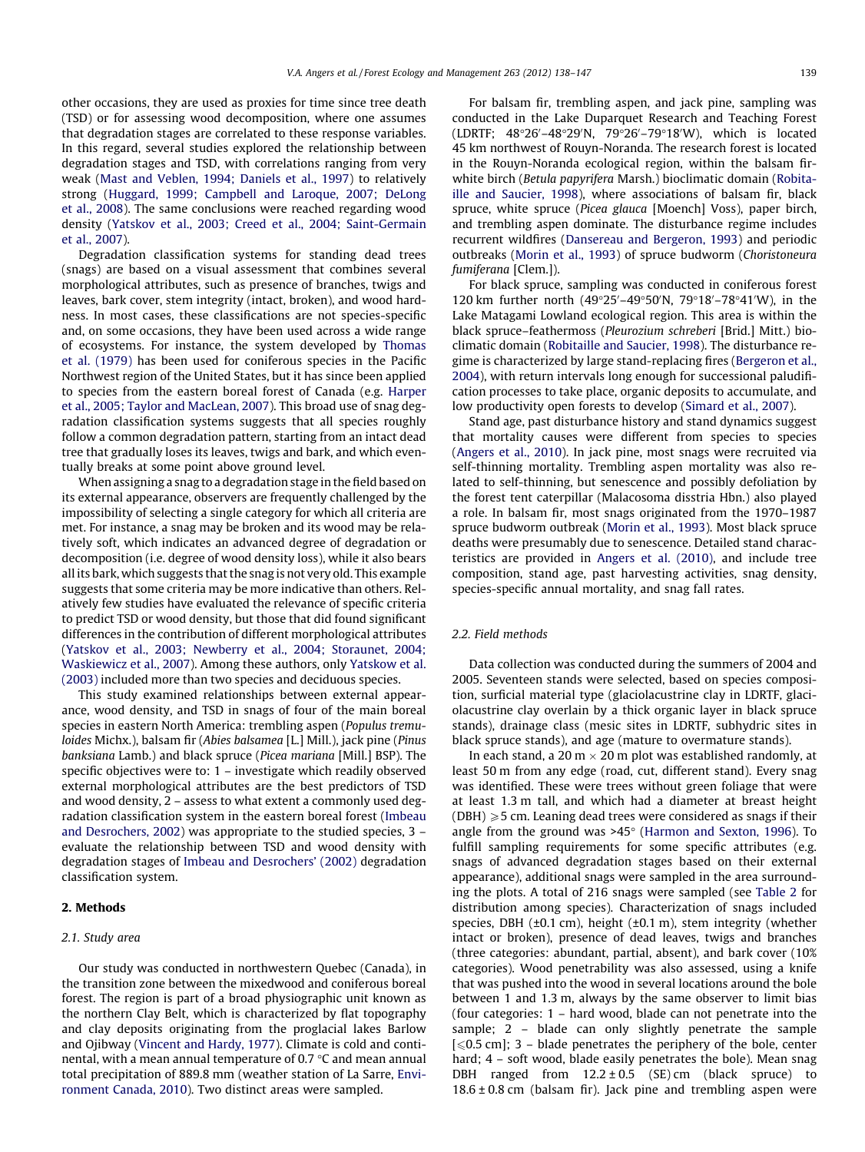other occasions, they are used as proxies for time since tree death (TSD) or for assessing wood decomposition, where one assumes that degradation stages are correlated to these response variables. In this regard, several studies explored the relationship between degradation stages and TSD, with correlations ranging from very weak [\(Mast and Veblen, 1994; Daniels et al., 1997\)](#page-9-0) to relatively strong ([Huggard, 1999; Campbell and Laroque, 2007; DeLong](#page-9-0) [et al., 2008](#page-9-0)). The same conclusions were reached regarding wood density [\(Yatskov et al., 2003; Creed et al., 2004; Saint-Germain](#page-9-0) [et al., 2007\)](#page-9-0).

Degradation classification systems for standing dead trees (snags) are based on a visual assessment that combines several morphological attributes, such as presence of branches, twigs and leaves, bark cover, stem integrity (intact, broken), and wood hardness. In most cases, these classifications are not species-specific and, on some occasions, they have been used across a wide range of ecosystems. For instance, the system developed by [Thomas](#page-9-0) [et al. \(1979\)](#page-9-0) has been used for coniferous species in the Pacific Northwest region of the United States, but it has since been applied to species from the eastern boreal forest of Canada (e.g. [Harper](#page-9-0) [et al., 2005; Taylor and MacLean, 2007](#page-9-0)). This broad use of snag degradation classification systems suggests that all species roughly follow a common degradation pattern, starting from an intact dead tree that gradually loses its leaves, twigs and bark, and which eventually breaks at some point above ground level.

When assigning a snag to a degradation stage in the field based on its external appearance, observers are frequently challenged by the impossibility of selecting a single category for which all criteria are met. For instance, a snag may be broken and its wood may be relatively soft, which indicates an advanced degree of degradation or decomposition (i.e. degree of wood density loss), while it also bears all its bark, which suggests that the snag is not very old. This example suggests that some criteria may be more indicative than others. Relatively few studies have evaluated the relevance of specific criteria to predict TSD or wood density, but those that did found significant differences in the contribution of different morphological attributes ([Yatskov et al., 2003; Newberry et al., 2004; Storaunet, 2004;](#page-9-0) [Waskiewicz et al., 2007\)](#page-9-0). Among these authors, only [Yatskow et al.](#page-9-0) [\(2003\)](#page-9-0) included more than two species and deciduous species.

This study examined relationships between external appearance, wood density, and TSD in snags of four of the main boreal species in eastern North America: trembling aspen (Populus tremuloides Michx.), balsam fir (Abies balsamea [L.] Mill.), jack pine (Pinus banksiana Lamb.) and black spruce (Picea mariana [Mill.] BSP). The specific objectives were to: 1 – investigate which readily observed external morphological attributes are the best predictors of TSD and wood density, 2 – assess to what extent a commonly used degradation classification system in the eastern boreal forest [\(Imbeau](#page-9-0) [and Desrochers, 2002](#page-9-0)) was appropriate to the studied species, 3 – evaluate the relationship between TSD and wood density with degradation stages of [Imbeau and Desrochers' \(2002\)](#page-9-0) degradation classification system.

## 2. Methods

## 2.1. Study area

Our study was conducted in northwestern Quebec (Canada), in the transition zone between the mixedwood and coniferous boreal forest. The region is part of a broad physiographic unit known as the northern Clay Belt, which is characterized by flat topography and clay deposits originating from the proglacial lakes Barlow and Ojibway ([Vincent and Hardy, 1977\)](#page-9-0). Climate is cold and continental, with a mean annual temperature of 0.7  $\degree$ C and mean annual total precipitation of 889.8 mm (weather station of La Sarre, [Envi](#page-9-0)[ronment Canada, 2010\)](#page-9-0). Two distinct areas were sampled.

For balsam fir, trembling aspen, and jack pine, sampling was conducted in the Lake Duparquet Research and Teaching Forest (LDRTF; 48°26′–48°29′N, 79°26′–79°18′W), which is located 45 km northwest of Rouyn-Noranda. The research forest is located in the Rouyn-Noranda ecological region, within the balsam firwhite birch (Betula papyrifera Marsh.) bioclimatic domain [\(Robita](#page-9-0)[ille and Saucier, 1998](#page-9-0)), where associations of balsam fir, black spruce, white spruce (Picea glauca [Moench] Voss), paper birch, and trembling aspen dominate. The disturbance regime includes recurrent wildfires ([Dansereau and Bergeron, 1993](#page-9-0)) and periodic outbreaks [\(Morin et al., 1993](#page-9-0)) of spruce budworm (Choristoneura fumiferana [Clem.]).

For black spruce, sampling was conducted in coniferous forest 120 km further north  $(49^{\circ}25' - 49^{\circ}50'N, 79^{\circ}18' - 78^{\circ}41'W)$ , in the Lake Matagami Lowland ecological region. This area is within the black spruce–feathermoss (Pleurozium schreberi [Brid.] Mitt.) bioclimatic domain ([Robitaille and Saucier, 1998](#page-9-0)). The disturbance regime is characterized by large stand-replacing fires ([Bergeron et al.,](#page-9-0) [2004](#page-9-0)), with return intervals long enough for successional paludification processes to take place, organic deposits to accumulate, and low productivity open forests to develop [\(Simard et al., 2007\)](#page-9-0).

Stand age, past disturbance history and stand dynamics suggest that mortality causes were different from species to species ([Angers et al., 2010\)](#page-8-0). In jack pine, most snags were recruited via self-thinning mortality. Trembling aspen mortality was also related to self-thinning, but senescence and possibly defoliation by the forest tent caterpillar (Malacosoma disstria Hbn.) also played a role. In balsam fir, most snags originated from the 1970–1987 spruce budworm outbreak [\(Morin et al., 1993\)](#page-9-0). Most black spruce deaths were presumably due to senescence. Detailed stand characteristics are provided in [Angers et al. \(2010\)](#page-8-0), and include tree composition, stand age, past harvesting activities, snag density, species-specific annual mortality, and snag fall rates.

## 2.2. Field methods

Data collection was conducted during the summers of 2004 and 2005. Seventeen stands were selected, based on species composition, surficial material type (glaciolacustrine clay in LDRTF, glaciolacustrine clay overlain by a thick organic layer in black spruce stands), drainage class (mesic sites in LDRTF, subhydric sites in black spruce stands), and age (mature to overmature stands).

In each stand, a 20 m  $\times$  20 m plot was established randomly, at least 50 m from any edge (road, cut, different stand). Every snag was identified. These were trees without green foliage that were at least 1.3 m tall, and which had a diameter at breast height  $(DBH) \geqslant 5$  cm. Leaning dead trees were considered as snags if their angle from the ground was  $>45^\circ$  [\(Harmon and Sexton, 1996](#page-9-0)). To fulfill sampling requirements for some specific attributes (e.g. snags of advanced degradation stages based on their external appearance), additional snags were sampled in the area surrounding the plots. A total of 216 snags were sampled (see [Table 2](#page-3-0) for distribution among species). Characterization of snags included species, DBH (±0.1 cm), height (±0.1 m), stem integrity (whether intact or broken), presence of dead leaves, twigs and branches (three categories: abundant, partial, absent), and bark cover (10% categories). Wood penetrability was also assessed, using a knife that was pushed into the wood in several locations around the bole between 1 and 1.3 m, always by the same observer to limit bias (four categories: 1 – hard wood, blade can not penetrate into the sample; 2 – blade can only slightly penetrate the sample  $\approx 0.5$  cm]; 3 – blade penetrates the periphery of the bole, center hard; 4 – soft wood, blade easily penetrates the bole). Mean snag DBH ranged from  $12.2 \pm 0.5$  (SE) cm (black spruce) to  $18.6 \pm 0.8$  cm (balsam fir). Jack pine and trembling aspen were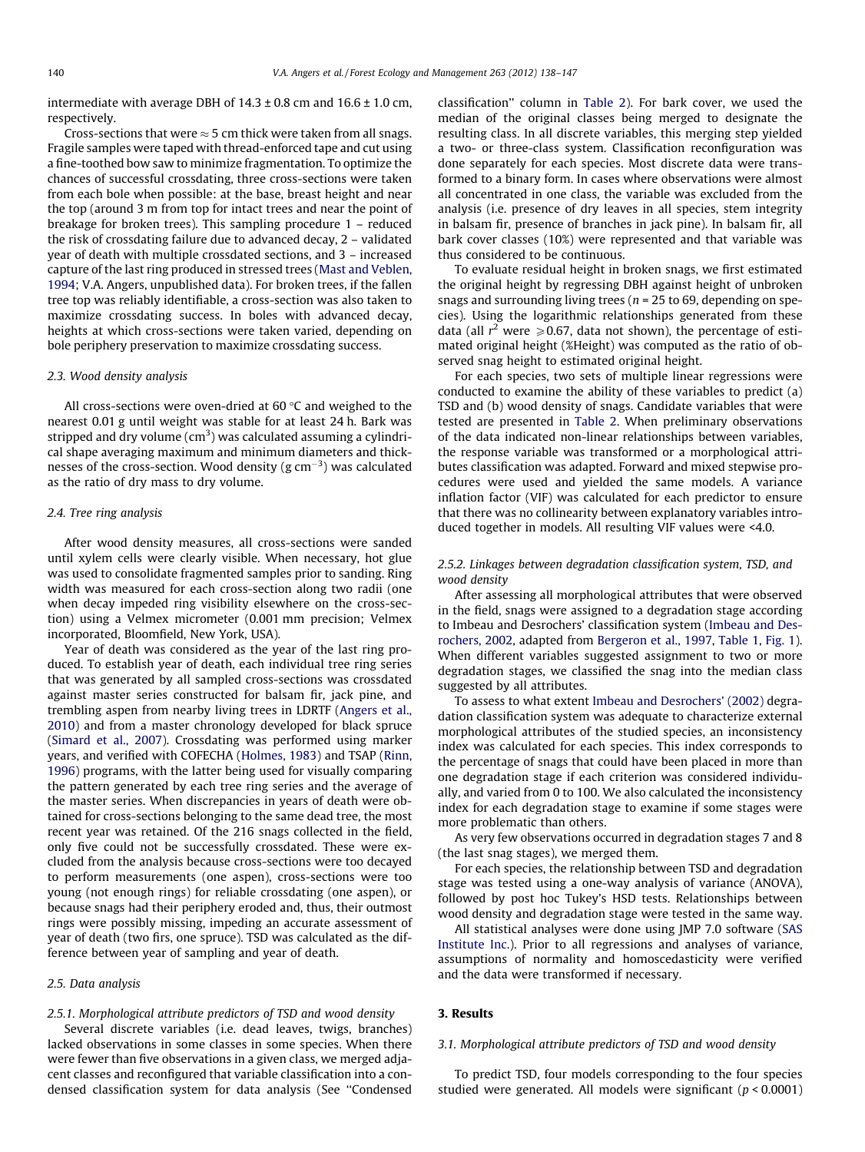intermediate with average DBH of  $14.3 \pm 0.8$  cm and  $16.6 \pm 1.0$  cm, respectively.

Cross-sections that were  $\approx$  5 cm thick were taken from all snags. Fragile samples were taped with thread-enforced tape and cut using a fine-toothed bow saw to minimize fragmentation. To optimize the chances of successful crossdating, three cross-sections were taken from each bole when possible: at the base, breast height and near the top (around 3 m from top for intact trees and near the point of breakage for broken trees). This sampling procedure 1 – reduced the risk of crossdating failure due to advanced decay, 2 – validated year of death with multiple crossdated sections, and 3 – increased capture of the last ring produced in stressed trees ([Mast and Veblen,](#page-9-0) [1994;](#page-9-0) V.A. Angers, unpublished data). For broken trees, if the fallen tree top was reliably identifiable, a cross-section was also taken to maximize crossdating success. In boles with advanced decay, heights at which cross-sections were taken varied, depending on bole periphery preservation to maximize crossdating success.

## 2.3. Wood density analysis

All cross-sections were oven-dried at  $60^{\circ}$ C and weighed to the nearest 0.01 g until weight was stable for at least 24 h. Bark was stripped and dry volume (cm $^3$ ) was calculated assuming a cylindrical shape averaging maximum and minimum diameters and thicknesses of the cross-section. Wood density (g cm $^{-3}$ ) was calculated as the ratio of dry mass to dry volume.

## 2.4. Tree ring analysis

After wood density measures, all cross-sections were sanded until xylem cells were clearly visible. When necessary, hot glue was used to consolidate fragmented samples prior to sanding. Ring width was measured for each cross-section along two radii (one when decay impeded ring visibility elsewhere on the cross-section) using a Velmex micrometer (0.001 mm precision; Velmex incorporated, Bloomfield, New York, USA).

Year of death was considered as the year of the last ring produced. To establish year of death, each individual tree ring series that was generated by all sampled cross-sections was crossdated against master series constructed for balsam fir, jack pine, and trembling aspen from nearby living trees in LDRTF ([Angers et al.,](#page-8-0) [2010\)](#page-8-0) and from a master chronology developed for black spruce ([Simard et al., 2007\)](#page-9-0). Crossdating was performed using marker years, and verified with COFECHA [\(Holmes, 1983](#page-9-0)) and TSAP ([Rinn,](#page-9-0) [1996\)](#page-9-0) programs, with the latter being used for visually comparing the pattern generated by each tree ring series and the average of the master series. When discrepancies in years of death were obtained for cross-sections belonging to the same dead tree, the most recent year was retained. Of the 216 snags collected in the field, only five could not be successfully crossdated. These were excluded from the analysis because cross-sections were too decayed to perform measurements (one aspen), cross-sections were too young (not enough rings) for reliable crossdating (one aspen), or because snags had their periphery eroded and, thus, their outmost rings were possibly missing, impeding an accurate assessment of year of death (two firs, one spruce). TSD was calculated as the difference between year of sampling and year of death.

## 2.5. Data analysis

## 2.5.1. Morphological attribute predictors of TSD and wood density

Several discrete variables (i.e. dead leaves, twigs, branches) lacked observations in some classes in some species. When there were fewer than five observations in a given class, we merged adjacent classes and reconfigured that variable classification into a condensed classification system for data analysis (See ''Condensed classification'' column in [Table 2](#page-3-0)). For bark cover, we used the median of the original classes being merged to designate the resulting class. In all discrete variables, this merging step yielded a two- or three-class system. Classification reconfiguration was done separately for each species. Most discrete data were transformed to a binary form. In cases where observations were almost all concentrated in one class, the variable was excluded from the analysis (i.e. presence of dry leaves in all species, stem integrity in balsam fir, presence of branches in jack pine). In balsam fir, all bark cover classes (10%) were represented and that variable was thus considered to be continuous.

To evaluate residual height in broken snags, we first estimated the original height by regressing DBH against height of unbroken snags and surrounding living trees ( $n = 25$  to 69, depending on species). Using the logarithmic relationships generated from these data (all  $r^2$  were  $\geqslant$  0.67, data not shown), the percentage of estimated original height (%Height) was computed as the ratio of observed snag height to estimated original height.

For each species, two sets of multiple linear regressions were conducted to examine the ability of these variables to predict (a) TSD and (b) wood density of snags. Candidate variables that were tested are presented in [Table 2.](#page-3-0) When preliminary observations of the data indicated non-linear relationships between variables, the response variable was transformed or a morphological attributes classification was adapted. Forward and mixed stepwise procedures were used and yielded the same models. A variance inflation factor (VIF) was calculated for each predictor to ensure that there was no collinearity between explanatory variables introduced together in models. All resulting VIF values were <4.0.

## 2.5.2. Linkages between degradation classification system, TSD, and wood density

After assessing all morphological attributes that were observed in the field, snags were assigned to a degradation stage according to Imbeau and Desrochers' classification system [\(Imbeau and Des](#page-9-0)[rochers, 2002](#page-9-0), adapted from [Bergeron et al., 1997,](#page-8-0) [Table 1,](#page-3-0) [Fig. 1\)](#page-4-0). When different variables suggested assignment to two or more degradation stages, we classified the snag into the median class suggested by all attributes.

To assess to what extent [Imbeau and Desrochers' \(2002\)](#page-9-0) degradation classification system was adequate to characterize external morphological attributes of the studied species, an inconsistency index was calculated for each species. This index corresponds to the percentage of snags that could have been placed in more than one degradation stage if each criterion was considered individually, and varied from 0 to 100. We also calculated the inconsistency index for each degradation stage to examine if some stages were more problematic than others.

As very few observations occurred in degradation stages 7 and 8 (the last snag stages), we merged them.

For each species, the relationship between TSD and degradation stage was tested using a one-way analysis of variance (ANOVA), followed by post hoc Tukey's HSD tests. Relationships between wood density and degradation stage were tested in the same way.

All statistical analyses were done using JMP 7.0 software ([SAS](#page-9-0) [Institute Inc.](#page-9-0)). Prior to all regressions and analyses of variance, assumptions of normality and homoscedasticity were verified and the data were transformed if necessary.

### 3. Results

#### 3.1. Morphological attribute predictors of TSD and wood density

To predict TSD, four models corresponding to the four species studied were generated. All models were significant ( $p < 0.0001$ )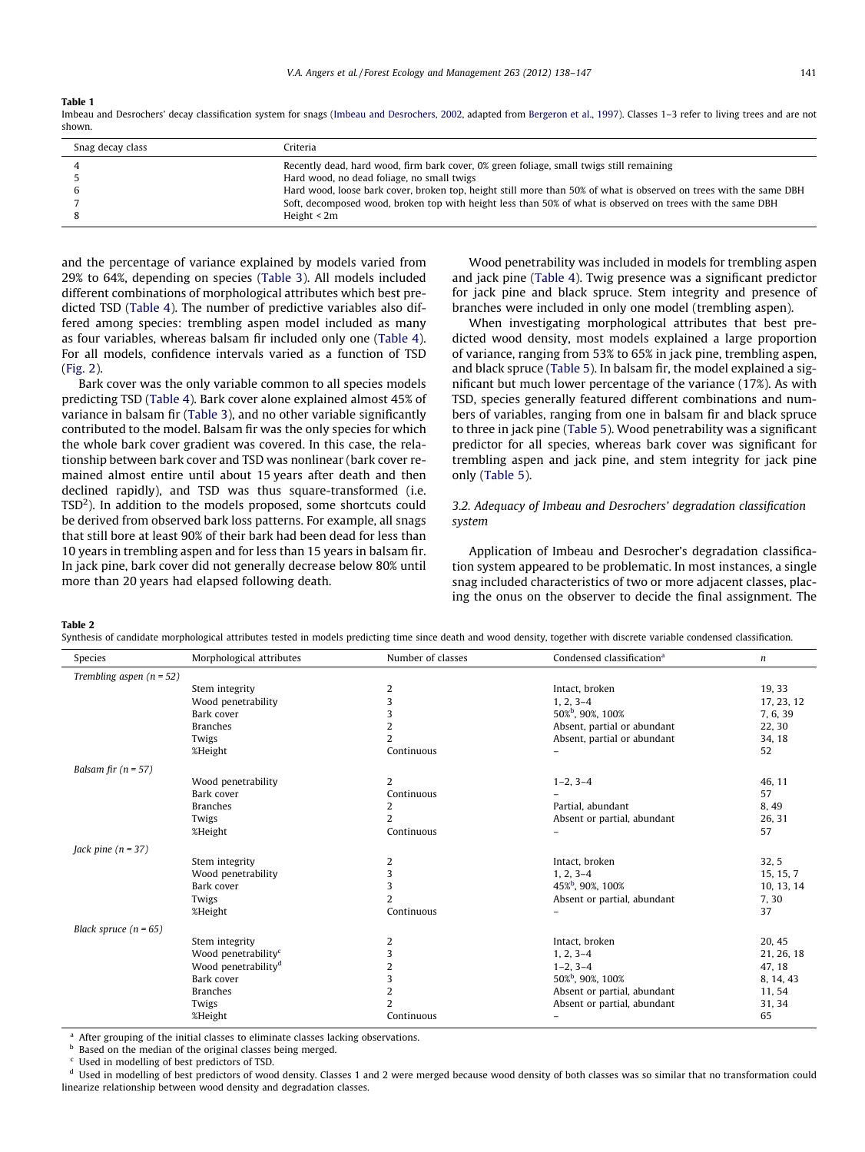<span id="page-3-0"></span>Table 1

Imbeau and Desrochers' decay classification system for snags ([Imbeau and Desrochers, 2002](#page-9-0), adapted from [Bergeron et al., 1997](#page-8-0)). Classes 1–3 refer to living trees and are not shown.

| Snag decay class | Criteria.                                                                                                          |
|------------------|--------------------------------------------------------------------------------------------------------------------|
|                  | Recently dead, hard wood, firm bark cover, 0% green foliage, small twigs still remaining                           |
|                  | Hard wood, no dead foliage, no small twigs                                                                         |
|                  | Hard wood, loose bark cover, broken top, height still more than 50% of what is observed on trees with the same DBH |
|                  | Soft, decomposed wood, broken top with height less than 50% of what is observed on trees with the same DBH         |
|                  | Height $< 2m$                                                                                                      |
|                  |                                                                                                                    |

and the percentage of variance explained by models varied from 29% to 64%, depending on species [\(Table 3\)](#page-4-0). All models included different combinations of morphological attributes which best predicted TSD [\(Table 4](#page-4-0)). The number of predictive variables also differed among species: trembling aspen model included as many as four variables, whereas balsam fir included only one ([Table 4\)](#page-4-0). For all models, confidence intervals varied as a function of TSD ([Fig. 2](#page-5-0)).

Bark cover was the only variable common to all species models predicting TSD [\(Table 4\)](#page-4-0). Bark cover alone explained almost 45% of variance in balsam fir ([Table 3\)](#page-4-0), and no other variable significantly contributed to the model. Balsam fir was the only species for which the whole bark cover gradient was covered. In this case, the relationship between bark cover and TSD was nonlinear (bark cover remained almost entire until about 15 years after death and then declined rapidly), and TSD was thus square-transformed (i.e.  $\text{TSD}^2$ ). In addition to the models proposed, some shortcuts could be derived from observed bark loss patterns. For example, all snags that still bore at least 90% of their bark had been dead for less than 10 years in trembling aspen and for less than 15 years in balsam fir. In jack pine, bark cover did not generally decrease below 80% until more than 20 years had elapsed following death.

Wood penetrability was included in models for trembling aspen and jack pine [\(Table 4](#page-4-0)). Twig presence was a significant predictor for jack pine and black spruce. Stem integrity and presence of branches were included in only one model (trembling aspen).

When investigating morphological attributes that best predicted wood density, most models explained a large proportion of variance, ranging from 53% to 65% in jack pine, trembling aspen, and black spruce [\(Table 5](#page-5-0)). In balsam fir, the model explained a significant but much lower percentage of the variance (17%). As with TSD, species generally featured different combinations and numbers of variables, ranging from one in balsam fir and black spruce to three in jack pine [\(Table 5](#page-5-0)). Wood penetrability was a significant predictor for all species, whereas bark cover was significant for trembling aspen and jack pine, and stem integrity for jack pine only ([Table 5](#page-5-0)).

## 3.2. Adequacy of Imbeau and Desrochers' degradation classification system

Application of Imbeau and Desrocher's degradation classification system appeared to be problematic. In most instances, a single snag included characteristics of two or more adjacent classes, placing the onus on the observer to decide the final assignment. The

#### Table 2

Synthesis of candidate morphological attributes tested in models predicting time since death and wood density, together with discrete variable condensed classification.

| Species                    | Morphological attributes        | Number of classes | Condensed classification <sup>a</sup> | n          |
|----------------------------|---------------------------------|-------------------|---------------------------------------|------------|
| Trembling aspen $(n = 52)$ |                                 |                   |                                       |            |
|                            | Stem integrity                  | 2                 | Intact, broken                        | 19, 33     |
|                            | Wood penetrability              | 3                 | $1, 2, 3-4$                           | 17, 23, 12 |
|                            | Bark cover                      | 3                 | 50%b, 90%, 100%                       | 7, 6, 39   |
|                            | <b>Branches</b>                 | 2                 | Absent, partial or abundant           | 22, 30     |
|                            | Twigs                           | $\overline{2}$    | Absent, partial or abundant           | 34, 18     |
|                            | %Height                         | Continuous        |                                       | 52         |
| Balsam fir $(n = 57)$      |                                 |                   |                                       |            |
|                            | Wood penetrability              | 2                 | $1-2, 3-4$                            | 46, 11     |
|                            | Bark cover                      | Continuous        |                                       | 57         |
|                            | <b>Branches</b>                 | 2                 | Partial, abundant                     | 8, 49      |
|                            | Twigs                           | $\overline{2}$    | Absent or partial, abundant           | 26, 31     |
|                            | %Height                         | Continuous        |                                       | 57         |
| Jack pine $(n = 37)$       |                                 |                   |                                       |            |
|                            | Stem integrity                  | 2                 | Intact, broken                        | 32, 5      |
|                            | Wood penetrability              | 3                 | $1, 2, 3-4$                           | 15, 15, 7  |
|                            | Bark cover                      | 3                 | 45% <sup>b</sup> , 90%, 100%          | 10, 13, 14 |
|                            | Twigs                           | 2                 | Absent or partial, abundant           | 7,30       |
|                            | %Height                         | Continuous        |                                       | 37         |
| Black spruce $(n = 65)$    |                                 |                   |                                       |            |
|                            | Stem integrity                  | 2                 | Intact, broken                        | 20, 45     |
|                            | Wood penetrability <sup>c</sup> | 3                 | $1, 2, 3-4$                           | 21, 26, 18 |
|                            | Wood penetrability <sup>d</sup> | 2                 | $1-2, 3-4$                            | 47, 18     |
|                            | Bark cover                      | 3                 | 50%b, 90%, 100%                       | 8, 14, 43  |
|                            | <b>Branches</b>                 | 2                 | Absent or partial, abundant           | 11, 54     |
|                            | Twigs                           | $\overline{2}$    | Absent or partial, abundant           | 31, 34     |
|                            | %Height                         | Continuous        |                                       | 65         |
|                            |                                 |                   |                                       |            |

<sup>a</sup> After grouping of the initial classes to eliminate classes lacking observations.<br><sup>b</sup> Based on the median of the original classes being merged

Based on the median of the original classes being merged.

Used in modelling of best predictors of TSD.

<sup>d</sup> Used in modelling of best predictors of wood density. Classes 1 and 2 were merged because wood density of both classes was so similar that no transformation could linearize relationship between wood density and degradation classes.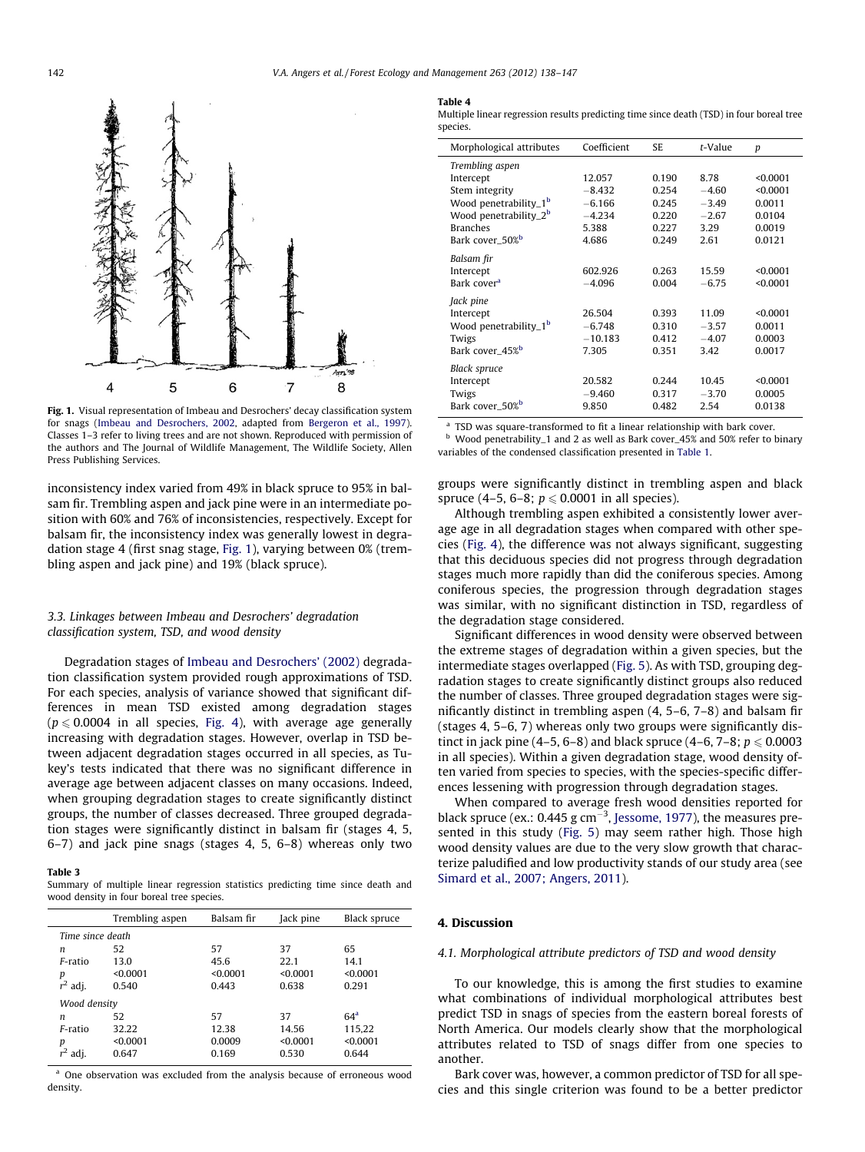<span id="page-4-0"></span>

Fig. 1. Visual representation of Imbeau and Desrochers' decay classification system for snags [\(Imbeau and Desrochers, 2002,](#page-9-0) adapted from [Bergeron et al., 1997\)](#page-8-0). Classes 1–3 refer to living trees and are not shown. Reproduced with permission of the authors and The Journal of Wildlife Management, The Wildlife Society, Allen Press Publishing Services.

inconsistency index varied from 49% in black spruce to 95% in balsam fir. Trembling aspen and jack pine were in an intermediate position with 60% and 76% of inconsistencies, respectively. Except for balsam fir, the inconsistency index was generally lowest in degradation stage 4 (first snag stage, Fig. 1), varying between 0% (trembling aspen and jack pine) and 19% (black spruce).

## 3.3. Linkages between Imbeau and Desrochers' degradation classification system, TSD, and wood density

Degradation stages of [Imbeau and Desrochers' \(2002\)](#page-9-0) degradation classification system provided rough approximations of TSD. For each species, analysis of variance showed that significant differences in mean TSD existed among degradation stages ( $p \le 0.0004$  in all species, [Fig. 4](#page-6-0)), with average age generally increasing with degradation stages. However, overlap in TSD between adjacent degradation stages occurred in all species, as Tukey's tests indicated that there was no significant difference in average age between adjacent classes on many occasions. Indeed, when grouping degradation stages to create significantly distinct groups, the number of classes decreased. Three grouped degradation stages were significantly distinct in balsam fir (stages 4, 5, 6–7) and jack pine snags (stages 4, 5, 6–8) whereas only two

## Table 3

Summary of multiple linear regression statistics predicting time since death and wood density in four boreal tree species.

|                  | Trembling aspen | Balsam fir | Jack pine | Black spruce    |
|------------------|-----------------|------------|-----------|-----------------|
| Time since death |                 |            |           |                 |
| n                | 52              | 57         | 37        | 65              |
| F-ratio          | 13.0            | 45.6       | 22.1      | 14.1            |
| р                | < 0.0001        | < 0.0001   | < 0.0001  | < 0.0001        |
| adj.             | 0.540           | 0.443      | 0.638     | 0.291           |
| Wood density     |                 |            |           |                 |
| n                | 52              | 57         | 37        | 64 <sup>a</sup> |
| F-ratio          | 32.22           | 12.38      | 14.56     | 115,22          |
| р                | < 0.0001        | 0.0009     | < 0.0001  | < 0.0001        |
| adj.             | 0.647           | 0.169      | 0.530     | 0.644           |

<sup>a</sup> One observation was excluded from the analysis because of erroneous wood density.

#### Table 4

Multiple linear regression results predicting time since death (TSD) in four boreal tree species.

| Morphological attributes          | Coefficient | SE.   | t-Value | p        |
|-----------------------------------|-------------|-------|---------|----------|
| Trembling aspen                   |             |       |         |          |
| Intercept                         | 12.057      | 0.190 | 8.78    | < 0.0001 |
| Stem integrity                    | $-8.432$    | 0.254 | $-4.60$ | < 0.0001 |
| Wood penetrability_ $1b$          | $-6.166$    | 0.245 | $-3.49$ | 0.0011   |
| Wood penetrability_2 <sup>b</sup> | $-4.234$    | 0.220 | $-2.67$ | 0.0104   |
| <b>Branches</b>                   | 5.388       | 0.227 | 3.29    | 0.0019   |
| Bark cover_50% <sup>b</sup>       | 4.686       | 0.249 | 2.61    | 0.0121   |
| Balsam fir                        |             |       |         |          |
| Intercept                         | 602.926     | 0.263 | 15.59   | < 0.0001 |
| Bark cover <sup>a</sup>           | $-4.096$    | 0.004 | $-6.75$ | < 0.0001 |
| Jack pine                         |             |       |         |          |
| Intercept                         | 26.504      | 0.393 | 11.09   | < 0.0001 |
| Wood penetrability_ $1b$          | $-6.748$    | 0.310 | $-3.57$ | 0.0011   |
| Twigs                             | $-10.183$   | 0.412 | $-4.07$ | 0.0003   |
| Bark cover 45% <sup>b</sup>       | 7.305       | 0.351 | 3.42    | 0.0017   |
| <b>Black spruce</b>               |             |       |         |          |
| Intercept                         | 20.582      | 0.244 | 10.45   | < 0.0001 |
| Twigs                             | $-9.460$    | 0.317 | $-3.70$ | 0.0005   |
| Bark cover 50% <sup>b</sup>       | 9.850       | 0.482 | 2.54    | 0.0138   |
|                                   |             |       |         |          |

<sup>a</sup> TSD was square-transformed to fit a linear relationship with bark cover.

<sup>b</sup> Wood penetrability\_1 and 2 as well as Bark cover\_45% and 50% refer to binary variables of the condensed classification presented in [Table 1.](#page-3-0)

groups were significantly distinct in trembling aspen and black spruce (4–5, 6–8;  $p \le 0.0001$  in all species).

Although trembling aspen exhibited a consistently lower average age in all degradation stages when compared with other species ([Fig. 4\)](#page-6-0), the difference was not always significant, suggesting that this deciduous species did not progress through degradation stages much more rapidly than did the coniferous species. Among coniferous species, the progression through degradation stages was similar, with no significant distinction in TSD, regardless of the degradation stage considered.

Significant differences in wood density were observed between the extreme stages of degradation within a given species, but the intermediate stages overlapped ([Fig. 5](#page-7-0)). As with TSD, grouping degradation stages to create significantly distinct groups also reduced the number of classes. Three grouped degradation stages were significantly distinct in trembling aspen (4, 5–6, 7–8) and balsam fir (stages 4, 5–6, 7) whereas only two groups were significantly distinct in jack pine (4–5, 6–8) and black spruce (4–6, 7–8;  $p \le 0.0003$ in all species). Within a given degradation stage, wood density often varied from species to species, with the species-specific differences lessening with progression through degradation stages.

When compared to average fresh wood densities reported for black spruce (ex.:  $0.445$  g cm<sup>-3</sup>, [Jessome, 1977](#page-9-0)), the measures presented in this study ([Fig. 5\)](#page-7-0) may seem rather high. Those high wood density values are due to the very slow growth that characterize paludified and low productivity stands of our study area (see [Simard et al., 2007; Angers, 2011](#page-9-0)).

## 4. Discussion

## 4.1. Morphological attribute predictors of TSD and wood density

To our knowledge, this is among the first studies to examine what combinations of individual morphological attributes best predict TSD in snags of species from the eastern boreal forests of North America. Our models clearly show that the morphological attributes related to TSD of snags differ from one species to another.

Bark cover was, however, a common predictor of TSD for all species and this single criterion was found to be a better predictor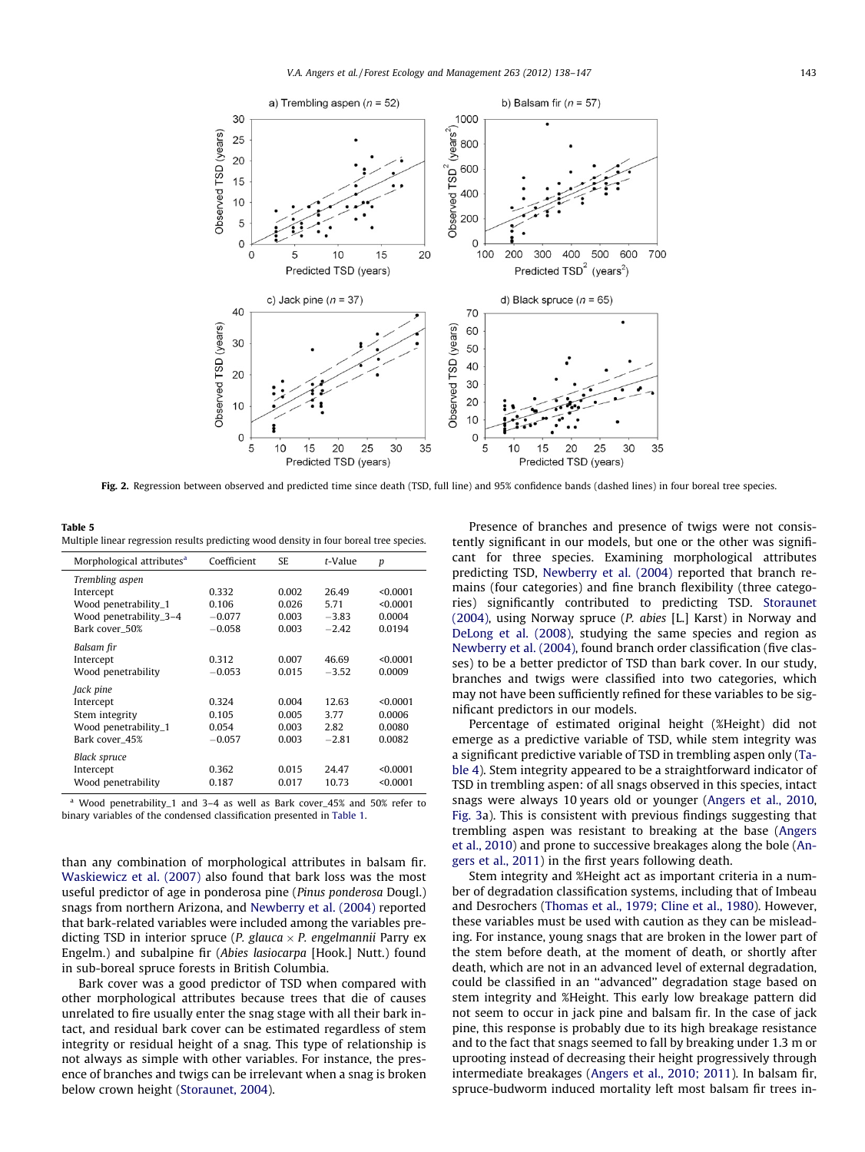<span id="page-5-0"></span>

Fig. 2. Regression between observed and predicted time since death (TSD, full line) and 95% confidence bands (dashed lines) in four boreal tree species.

Table 5 Multiple linear regression results predicting wood density in four boreal tree species.

| Morphological attributes <sup>a</sup>                                                            | Coefficient                            | <b>SE</b>                        | $t$ -Value                          | p                                        |
|--------------------------------------------------------------------------------------------------|----------------------------------------|----------------------------------|-------------------------------------|------------------------------------------|
| Trembling aspen<br>Intercept<br>Wood penetrability_1<br>Wood penetrability_3-4<br>Bark cover 50% | 0.332<br>0.106<br>$-0.077$<br>$-0.058$ | 0.002<br>0.026<br>0.003<br>0.003 | 26.49<br>5.71<br>$-3.83$<br>$-2.42$ | < 0.0001<br>< 0.0001<br>0.0004<br>0.0194 |
| Balsam fir<br>Intercept<br>Wood penetrability                                                    | 0.312<br>$-0.053$                      | 0.007<br>0.015                   | 46.69<br>$-3.52$                    | < 0.0001<br>0.0009                       |
| Jack pine<br>Intercept<br>Stem integrity<br>Wood penetrability_1<br>Bark cover_45%               | 0.324<br>0.105<br>0.054<br>$-0.057$    | 0.004<br>0.005<br>0.003<br>0.003 | 12.63<br>3.77<br>2.82<br>$-2.81$    | < 0.0001<br>0.0006<br>0.0080<br>0.0082   |
| <b>Black spruce</b><br>Intercept<br>Wood penetrability                                           | 0.362<br>0.187                         | 0.015<br>0.017                   | 24.47<br>10.73                      | < 0.0001<br>< 0.0001                     |

<sup>a</sup> Wood penetrability 1 and 3–4 as well as Bark cover 45% and 50% refer to binary variables of the condensed classification presented in [Table 1](#page-3-0).

than any combination of morphological attributes in balsam fir. [Waskiewicz et al. \(2007\)](#page-9-0) also found that bark loss was the most useful predictor of age in ponderosa pine (Pinus ponderosa Dougl.) snags from northern Arizona, and [Newberry et al. \(2004\)](#page-9-0) reported that bark-related variables were included among the variables predicting TSD in interior spruce (P. glauca  $\times$  P. engelmannii Parry ex Engelm.) and subalpine fir (Abies lasiocarpa [Hook.] Nutt.) found in sub-boreal spruce forests in British Columbia.

Bark cover was a good predictor of TSD when compared with other morphological attributes because trees that die of causes unrelated to fire usually enter the snag stage with all their bark intact, and residual bark cover can be estimated regardless of stem integrity or residual height of a snag. This type of relationship is not always as simple with other variables. For instance, the presence of branches and twigs can be irrelevant when a snag is broken below crown height [\(Storaunet, 2004](#page-9-0)).

Presence of branches and presence of twigs were not consistently significant in our models, but one or the other was significant for three species. Examining morphological attributes predicting TSD, [Newberry et al. \(2004\)](#page-9-0) reported that branch remains (four categories) and fine branch flexibility (three categories) significantly contributed to predicting TSD. [Storaunet](#page-9-0) [\(2004\)](#page-9-0), using Norway spruce (P. abies [L.] Karst) in Norway and [DeLong et al. \(2008\)](#page-9-0), studying the same species and region as [Newberry et al. \(2004\)](#page-9-0), found branch order classification (five classes) to be a better predictor of TSD than bark cover. In our study, branches and twigs were classified into two categories, which may not have been sufficiently refined for these variables to be significant predictors in our models.

Percentage of estimated original height (%Height) did not emerge as a predictive variable of TSD, while stem integrity was a significant predictive variable of TSD in trembling aspen only [\(Ta](#page-4-0)[ble 4\)](#page-4-0). Stem integrity appeared to be a straightforward indicator of TSD in trembling aspen: of all snags observed in this species, intact snags were always 10 years old or younger [\(Angers et al., 2010,](#page-8-0) [Fig. 3](#page-6-0)a). This is consistent with previous findings suggesting that trembling aspen was resistant to breaking at the base ([Angers](#page-8-0) [et al., 2010\)](#page-8-0) and prone to successive breakages along the bole ([An](#page-8-0)[gers et al., 2011\)](#page-8-0) in the first years following death.

Stem integrity and %Height act as important criteria in a number of degradation classification systems, including that of Imbeau and Desrochers ([Thomas et al., 1979; Cline et al., 1980](#page-9-0)). However, these variables must be used with caution as they can be misleading. For instance, young snags that are broken in the lower part of the stem before death, at the moment of death, or shortly after death, which are not in an advanced level of external degradation, could be classified in an ''advanced'' degradation stage based on stem integrity and %Height. This early low breakage pattern did not seem to occur in jack pine and balsam fir. In the case of jack pine, this response is probably due to its high breakage resistance and to the fact that snags seemed to fall by breaking under 1.3 m or uprooting instead of decreasing their height progressively through intermediate breakages [\(Angers et al., 2010; 2011\)](#page-8-0). In balsam fir, spruce-budworm induced mortality left most balsam fir trees in-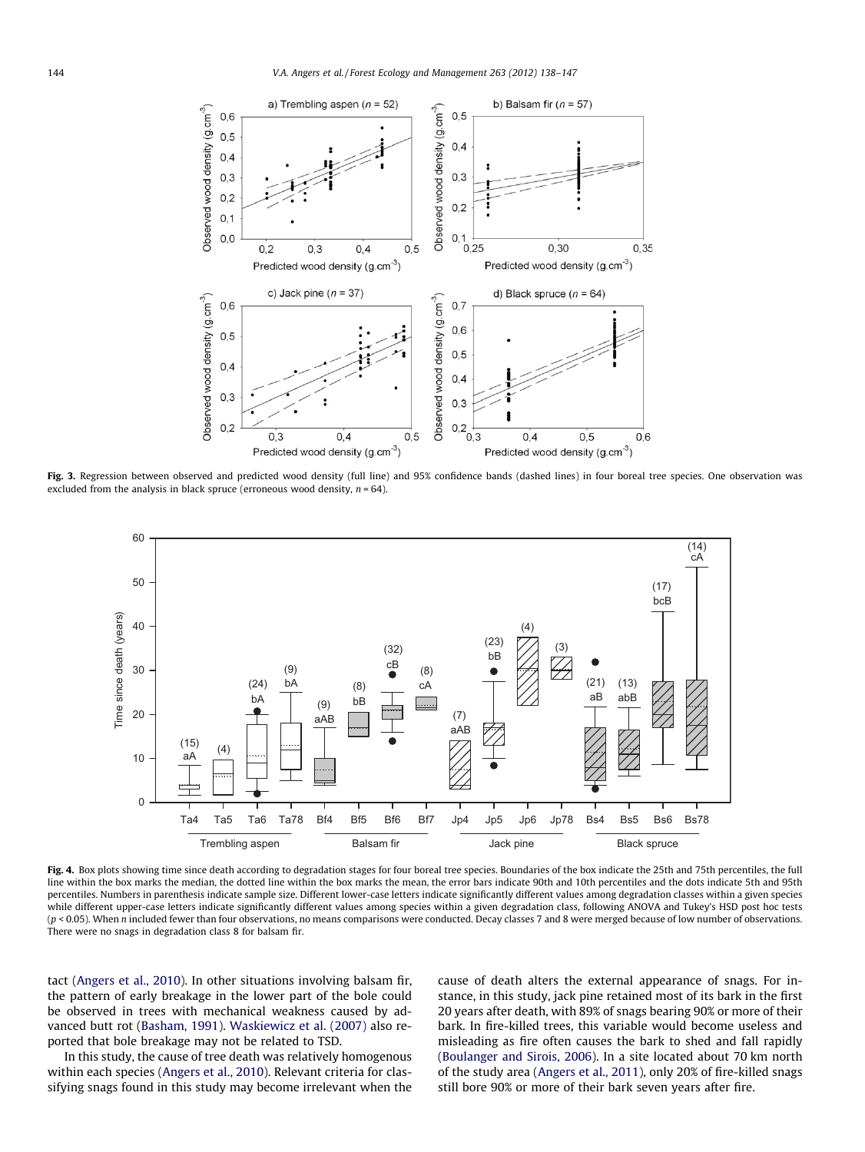<span id="page-6-0"></span>

Fig. 3. Regression between observed and predicted wood density (full line) and 95% confidence bands (dashed lines) in four boreal tree species. One observation was excluded from the analysis in black spruce (erroneous wood density,  $n = 64$ ).



Fig. 4. Box plots showing time since death according to degradation stages for four boreal tree species. Boundaries of the box indicate the 25th and 75th percentiles, the full line within the box marks the median, the dotted line within the box marks the mean, the error bars indicate 90th and 10th percentiles and the dots indicate 5th and 95th percentiles. Numbers in parenthesis indicate sample size. Different lower-case letters indicate significantly different values among degradation classes within a given species while different upper-case letters indicate significantly different values among species within a given degradation class, following ANOVA and Tukey's HSD post hoc tests  $(p \le 0.05)$ . When n included fewer than four observations, no means comparisons were conducted. Decay classes 7 and 8 were merged because of low number of observations. There were no snags in degradation class 8 for balsam fir.

tact ([Angers et al., 2010](#page-8-0)). In other situations involving balsam fir, the pattern of early breakage in the lower part of the bole could be observed in trees with mechanical weakness caused by advanced butt rot [\(Basham, 1991\)](#page-8-0). [Waskiewicz et al. \(2007\)](#page-9-0) also reported that bole breakage may not be related to TSD.

In this study, the cause of tree death was relatively homogenous within each species ([Angers et al., 2010\)](#page-8-0). Relevant criteria for classifying snags found in this study may become irrelevant when the cause of death alters the external appearance of snags. For instance, in this study, jack pine retained most of its bark in the first 20 years after death, with 89% of snags bearing 90% or more of their bark. In fire-killed trees, this variable would become useless and misleading as fire often causes the bark to shed and fall rapidly ([Boulanger and Sirois, 2006\)](#page-9-0). In a site located about 70 km north of the study area ([Angers et al., 2011](#page-8-0)), only 20% of fire-killed snags still bore 90% or more of their bark seven years after fire.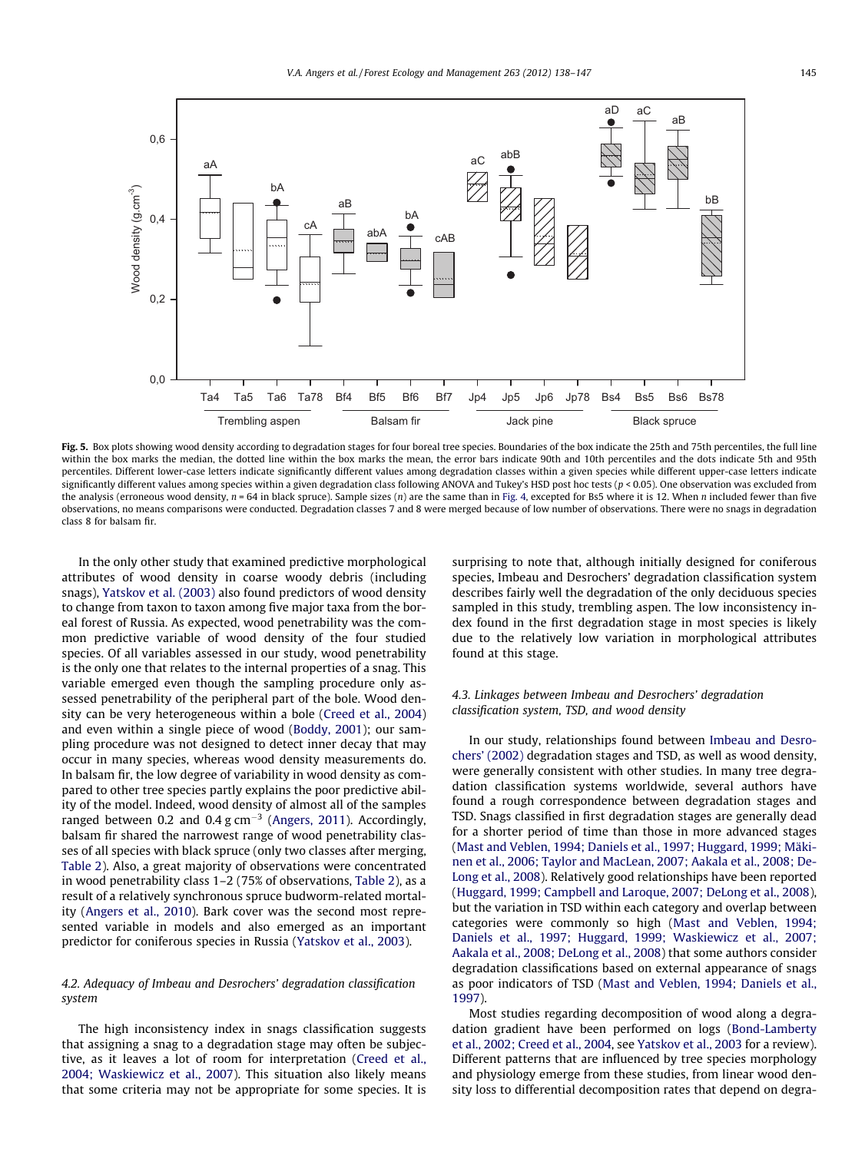<span id="page-7-0"></span>

Fig. 5. Box plots showing wood density according to degradation stages for four boreal tree species. Boundaries of the box indicate the 25th and 75th percentiles, the full line within the box marks the median, the dotted line within the box marks the mean, the error bars indicate 90th and 10th percentiles and the dots indicate 5th and 95th percentiles. Different lower-case letters indicate significantly different values among degradation classes within a given species while different upper-case letters indicate significantly different values among species within a given degradation class following ANOVA and Tukey's HSD post hoc tests (p < 0.05). One observation was excluded from the analysis (erroneous wood density,  $n = 64$  in black spruce). Sample sizes (n) are the same than in [Fig. 4](#page-6-0), excepted for Bs5 where it is 12. When n included fewer than five observations, no means comparisons were conducted. Degradation classes 7 and 8 were merged because of low number of observations. There were no snags in degradation class 8 for balsam fir.

In the only other study that examined predictive morphological attributes of wood density in coarse woody debris (including snags), [Yatskov et al. \(2003\)](#page-9-0) also found predictors of wood density to change from taxon to taxon among five major taxa from the boreal forest of Russia. As expected, wood penetrability was the common predictive variable of wood density of the four studied species. Of all variables assessed in our study, wood penetrability is the only one that relates to the internal properties of a snag. This variable emerged even though the sampling procedure only assessed penetrability of the peripheral part of the bole. Wood density can be very heterogeneous within a bole [\(Creed et al., 2004\)](#page-9-0) and even within a single piece of wood [\(Boddy, 2001\)](#page-9-0); our sampling procedure was not designed to detect inner decay that may occur in many species, whereas wood density measurements do. In balsam fir, the low degree of variability in wood density as compared to other tree species partly explains the poor predictive ability of the model. Indeed, wood density of almost all of the samples ranged between 0.2 and  $0.4$  g cm<sup>-3</sup> ([Angers, 2011](#page-8-0)). Accordingly, balsam fir shared the narrowest range of wood penetrability classes of all species with black spruce (only two classes after merging, [Table 2](#page-3-0)). Also, a great majority of observations were concentrated in wood penetrability class 1–2 (75% of observations, [Table 2](#page-3-0)), as a result of a relatively synchronous spruce budworm-related mortality [\(Angers et al., 2010\)](#page-8-0). Bark cover was the second most represented variable in models and also emerged as an important predictor for coniferous species in Russia ([Yatskov et al., 2003\)](#page-9-0).

## 4.2. Adequacy of Imbeau and Desrochers' degradation classification system

The high inconsistency index in snags classification suggests that assigning a snag to a degradation stage may often be subjective, as it leaves a lot of room for interpretation ([Creed et al.,](#page-9-0) [2004; Waskiewicz et al., 2007\)](#page-9-0). This situation also likely means that some criteria may not be appropriate for some species. It is surprising to note that, although initially designed for coniferous species, Imbeau and Desrochers' degradation classification system describes fairly well the degradation of the only deciduous species sampled in this study, trembling aspen. The low inconsistency index found in the first degradation stage in most species is likely due to the relatively low variation in morphological attributes found at this stage.

## 4.3. Linkages between Imbeau and Desrochers' degradation classification system, TSD, and wood density

In our study, relationships found between [Imbeau and Desro](#page-9-0)[chers' \(2002\)](#page-9-0) degradation stages and TSD, as well as wood density, were generally consistent with other studies. In many tree degradation classification systems worldwide, several authors have found a rough correspondence between degradation stages and TSD. Snags classified in first degradation stages are generally dead for a shorter period of time than those in more advanced stages ([Mast and Veblen, 1994; Daniels et al., 1997; Huggard, 1999; Mäki](#page-9-0)[nen et al., 2006; Taylor and MacLean, 2007; Aakala et al., 2008; De-](#page-9-0)[Long et al., 2008](#page-9-0)). Relatively good relationships have been reported ([Huggard, 1999; Campbell and Laroque, 2007; DeLong et al., 2008\)](#page-9-0), but the variation in TSD within each category and overlap between categories were commonly so high ([Mast and Veblen, 1994;](#page-9-0) [Daniels et al., 1997; Huggard, 1999; Waskiewicz et al., 2007;](#page-9-0) [Aakala et al., 2008; DeLong et al., 2008](#page-9-0)) that some authors consider degradation classifications based on external appearance of snags as poor indicators of TSD [\(Mast and Veblen, 1994; Daniels et al.,](#page-9-0) [1997\)](#page-9-0).

Most studies regarding decomposition of wood along a degradation gradient have been performed on logs [\(Bond-Lamberty](#page-9-0) [et al., 2002; Creed et al., 2004](#page-9-0), see [Yatskov et al., 2003](#page-9-0) for a review). Different patterns that are influenced by tree species morphology and physiology emerge from these studies, from linear wood density loss to differential decomposition rates that depend on degra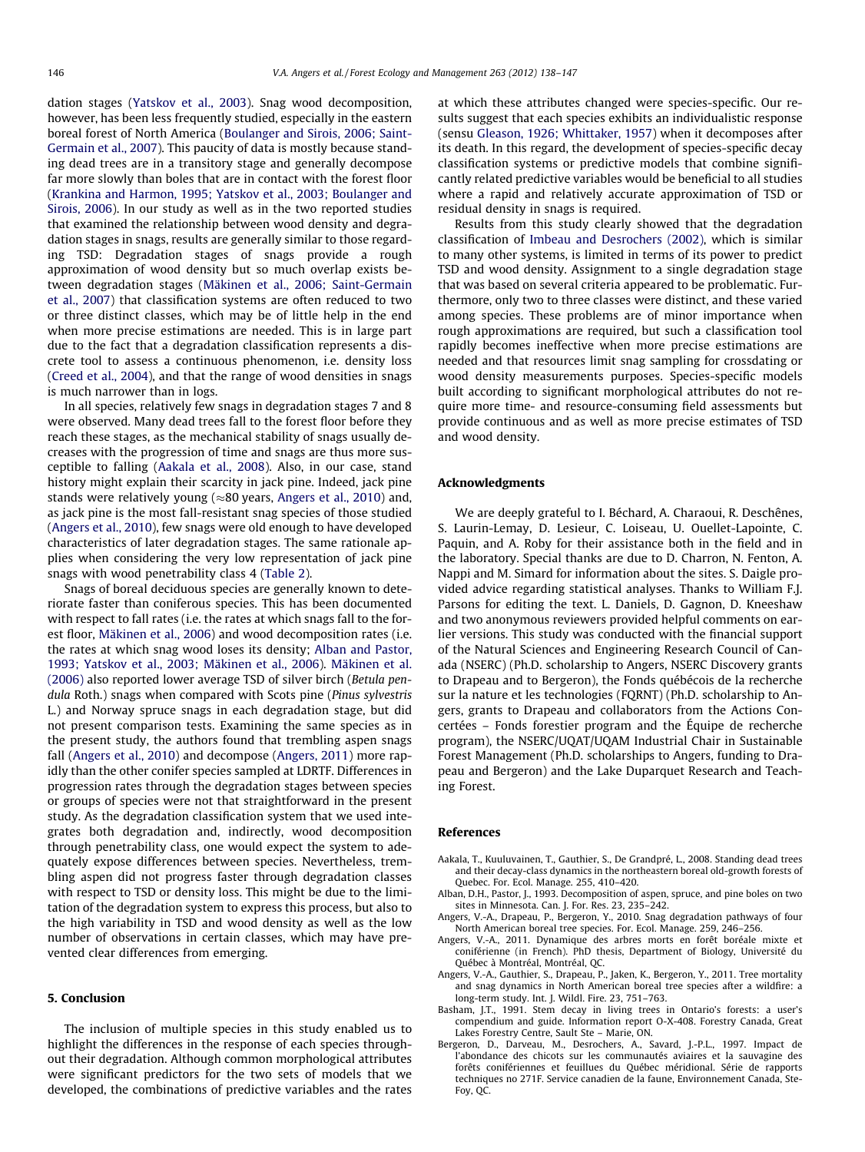<span id="page-8-0"></span>dation stages [\(Yatskov et al., 2003\)](#page-9-0). Snag wood decomposition, however, has been less frequently studied, especially in the eastern boreal forest of North America [\(Boulanger and Sirois, 2006; Saint-](#page-9-0)[Germain et al., 2007](#page-9-0)). This paucity of data is mostly because standing dead trees are in a transitory stage and generally decompose far more slowly than boles that are in contact with the forest floor ([Krankina and Harmon, 1995; Yatskov et al., 2003; Boulanger and](#page-9-0) [Sirois, 2006](#page-9-0)). In our study as well as in the two reported studies that examined the relationship between wood density and degradation stages in snags, results are generally similar to those regarding TSD: Degradation stages of snags provide a rough approximation of wood density but so much overlap exists between degradation stages ([Mäkinen et al., 2006; Saint-Germain](#page-9-0) [et al., 2007](#page-9-0)) that classification systems are often reduced to two or three distinct classes, which may be of little help in the end when more precise estimations are needed. This is in large part due to the fact that a degradation classification represents a discrete tool to assess a continuous phenomenon, i.e. density loss ([Creed et al., 2004](#page-9-0)), and that the range of wood densities in snags is much narrower than in logs.

In all species, relatively few snags in degradation stages 7 and 8 were observed. Many dead trees fall to the forest floor before they reach these stages, as the mechanical stability of snags usually decreases with the progression of time and snags are thus more susceptible to falling (Aakala et al., 2008). Also, in our case, stand history might explain their scarcity in jack pine. Indeed, jack pine stands were relatively young ( $\approx$ 80 years, Angers et al., 2010) and, as jack pine is the most fall-resistant snag species of those studied (Angers et al., 2010), few snags were old enough to have developed characteristics of later degradation stages. The same rationale applies when considering the very low representation of jack pine snags with wood penetrability class 4 [\(Table 2](#page-3-0)).

Snags of boreal deciduous species are generally known to deteriorate faster than coniferous species. This has been documented with respect to fall rates (i.e. the rates at which snags fall to the forest floor, [Mäkinen et al., 2006](#page-9-0)) and wood decomposition rates (i.e. the rates at which snag wood loses its density; Alban and Pastor, 1993; Yatskov et al., 2003; Mäkinen et al., 2006). [Mäkinen et al.](#page-9-0) [\(2006\)](#page-9-0) also reported lower average TSD of silver birch (Betula pendula Roth.) snags when compared with Scots pine (Pinus sylvestris L.) and Norway spruce snags in each degradation stage, but did not present comparison tests. Examining the same species as in the present study, the authors found that trembling aspen snags fall (Angers et al., 2010) and decompose (Angers, 2011) more rapidly than the other conifer species sampled at LDRTF. Differences in progression rates through the degradation stages between species or groups of species were not that straightforward in the present study. As the degradation classification system that we used integrates both degradation and, indirectly, wood decomposition through penetrability class, one would expect the system to adequately expose differences between species. Nevertheless, trembling aspen did not progress faster through degradation classes with respect to TSD or density loss. This might be due to the limitation of the degradation system to express this process, but also to the high variability in TSD and wood density as well as the low number of observations in certain classes, which may have prevented clear differences from emerging.

## 5. Conclusion

The inclusion of multiple species in this study enabled us to highlight the differences in the response of each species throughout their degradation. Although common morphological attributes were significant predictors for the two sets of models that we developed, the combinations of predictive variables and the rates at which these attributes changed were species-specific. Our results suggest that each species exhibits an individualistic response (sensu [Gleason, 1926; Whittaker, 1957](#page-9-0)) when it decomposes after its death. In this regard, the development of species-specific decay classification systems or predictive models that combine significantly related predictive variables would be beneficial to all studies where a rapid and relatively accurate approximation of TSD or residual density in snags is required.

Results from this study clearly showed that the degradation classification of [Imbeau and Desrochers \(2002\),](#page-9-0) which is similar to many other systems, is limited in terms of its power to predict TSD and wood density. Assignment to a single degradation stage that was based on several criteria appeared to be problematic. Furthermore, only two to three classes were distinct, and these varied among species. These problems are of minor importance when rough approximations are required, but such a classification tool rapidly becomes ineffective when more precise estimations are needed and that resources limit snag sampling for crossdating or wood density measurements purposes. Species-specific models built according to significant morphological attributes do not require more time- and resource-consuming field assessments but provide continuous and as well as more precise estimates of TSD and wood density.

## Acknowledgments

We are deeply grateful to I. Béchard, A. Charaoui, R. Deschênes, S. Laurin-Lemay, D. Lesieur, C. Loiseau, U. Ouellet-Lapointe, C. Paquin, and A. Roby for their assistance both in the field and in the laboratory. Special thanks are due to D. Charron, N. Fenton, A. Nappi and M. Simard for information about the sites. S. Daigle provided advice regarding statistical analyses. Thanks to William F.J. Parsons for editing the text. L. Daniels, D. Gagnon, D. Kneeshaw and two anonymous reviewers provided helpful comments on earlier versions. This study was conducted with the financial support of the Natural Sciences and Engineering Research Council of Canada (NSERC) (Ph.D. scholarship to Angers, NSERC Discovery grants to Drapeau and to Bergeron), the Fonds québécois de la recherche sur la nature et les technologies (FQRNT) (Ph.D. scholarship to Angers, grants to Drapeau and collaborators from the Actions Concertées – Fonds forestier program and the Équipe de recherche program), the NSERC/UQAT/UQAM Industrial Chair in Sustainable Forest Management (Ph.D. scholarships to Angers, funding to Drapeau and Bergeron) and the Lake Duparquet Research and Teaching Forest.

## References

- Aakala, T., Kuuluvainen, T., Gauthier, S., De Grandpré, L., 2008. Standing dead trees and their decay-class dynamics in the northeastern boreal old-growth forests of Quebec. For. Ecol. Manage. 255, 410–420.
- Alban, D.H., Pastor, J., 1993. Decomposition of aspen, spruce, and pine boles on two sites in Minnesota. Can. J. For. Res. 23, 235–242.
- Angers, V.-A., Drapeau, P., Bergeron, Y., 2010. Snag degradation pathways of four North American boreal tree species. For. Ecol. Manage. 259, 246–256.
- Angers, V.-A., 2011. Dynamique des arbres morts en forêt boréale mixte et coniférienne (in French). PhD thesis, Department of Biology, Université du Québec à Montréal, Montréal, QC.
- Angers, V.-A., Gauthier, S., Drapeau, P., Jaken, K., Bergeron, Y., 2011. Tree mortality and snag dynamics in North American boreal tree species after a wildfire: a long-term study. Int. J. Wildl. Fire. 23, 751–763.
- Basham, J.T., 1991. Stem decay in living trees in Ontario's forests: a user's compendium and guide. Information report O-X-408. Forestry Canada, Great Lakes Forestry Centre, Sault Ste – Marie, ON.
- Bergeron, D., Darveau, M., Desrochers, A., Savard, J.-P.L., 1997. Impact de l'abondance des chicots sur les communautés aviaires et la sauvagine des forêts conifériennes et feuillues du Québec méridional. Série de rapports techniques no 271F. Service canadien de la faune, Environnement Canada, Ste-Foy, QC.